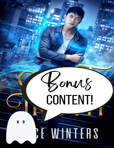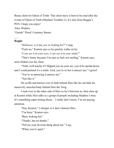Bonus short for Ghost of Truth- This short story is best to be read after the events of Ghost of Truth (Medium Troubles 2). It's also from Reggie's POV. I hope you enjoy! Alice Winters

"Gentle" Proof: Courtney Basset

## **Reggie**

 $\mathcal{L}_{\mathcal{L}}$ 

"*Helloooo, is it* me *you're looking for*?" I sing.

"Fuck no," Keaton says as he quickly walks on by.

"*I can see it in your eyes, I can see it in your smile!*"

"That's funny because I'm sure as fuck not smiling," Keaton says, arms folded over his chest.

"Yeah, well maybe if I flipped you on your ass, you'd be upside down and I could pretend it's a smile. God, you're so hot it annoys me," I growl.

"You're so annoying it annoys me."

"You like it."

He scoffs and hurries over to hide behind Hiro like he can hide his massively muscled body behind Hiro the Twig.

I rush over to the other side of Hiro so he's between us, then stare up at Keaton while Hiro talks to a group of people including Maddox's boss. It's something super boring about… I really don't know, I'm not paying attention.

"Hey, Keaton," I whisper so I don't distract Hiro.

"I'm busy," Keaton says.

"Busy looking hot."

"Thanks, but no thanks."

"Tell me your favorite thing about me," I say.

"When you're quiet."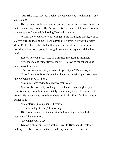"Ah, Hiro likes that too. Look at the way his face is twitching," I say as I poke at it.

Hiro smacks my hand away but doesn't miss a beat as he continues on with the meeting. I snatch Hiro's hand before he can set it down and run my tongue up one finger while looking Keaton in the eyes.

When I go to put Hiro's entire finger in my mouth, he slowly, ever so slowly, turns to look at me. There's death in his eyes. If I wasn't already dead, I'd fear for my life, but at the same time, it's kind of sexy but in a weird way. Like is he going to bring down upon me my second death or not?

Keaton lets out a snort like he's amused my death is imminent.

"Excuse me one minor tiny second," Hiro says to the others as he marches out the door.

"I'm not following him, he wants to yell at *you*," Keaton says.

"I don't want to follow him either, he wants to yell at *you*. You were the one who started it," I say.

"Because I was trying to get away from *you*."

My eyes betray me by looking over at the door with a glass pane in it. Hiro is staring through it, immediately catching my eyes. He wants me to follow. He wants me to go to him where he'll ruin all my fun like the fun ruiner he is.

"He's staring into my soul," I whisper.

"You should go to him," Keaton says.

Hiro points to me and then Keaton before doing a "come hither to your death" hand motion.

"He wants you," I say.

Keaton sighs again before walking over to Hiro, and if Keaton is willing to walk to his death, then I shall stay here and live my life.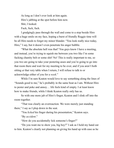As long as I don't ever look at him again. Hiro's jabbing at the spot before him now. Shit, I looked. Fuck, fuck, fuck.

I grudgingly pass through the wall and come to a stop beside Hiro with a huge smile on my face, hoping a burst of friendly Reggie time will be all Hiro needs to forget my minor blunder. "You look really nice today, Hiro," I say, but it doesn't even penetrate his anger bubble.

"What the absolute hell was that? You guys know I have a meeting, and instead, you're trying to squish me between you two like I'm some fucking chastity belt or some shit! No! This is really important to me, so you two are going to take your pestering asses and you're going to go into that room there and wait for my meeting to be over, and if you aren't both sitting *at* that very table when I return, I will refuse to talk to or acknowledge either of you for a *week*."

While I'm sure Keaton would love to say something along the lines of "Sounds good to me," he's probably in the same boat as I am. Without Hiro to pester and poke and annoy… life feels kind of empty. I at least know how to make friends, while I think Keaton really only has us.

So with one more jab of Hiro's finger, Keaton and I slink off into the room together.

"That was clearly an overreaction. We were merely just standing there," I say as I plop down in the seat.

"You *licked* his finger during his presentation," Keaton says.

"By *accident*."

"How do you accidentally lick someone's finger?"

"Do you want me to show you, big boy?" I ask as I hold my hand out to him. Keaton's clearly not planning on giving his hand up with ease as he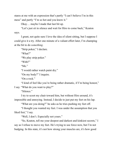stares at me with an expression that's partly "I can't believe I'm in this mess" and partly "I'm so hot and you know it."

Okay… maybe I made that last bit up.

"Let's just sit in silence and wait for Hiro to come back," Keaton says.

I grunt, not quite sure I love the idea of silent sitting, but I suppose I could give it a try. After one minute of a valiant effort later, I'm champing at the bit to do *something*.

"Strip poker," I declare.

"What?"

"We play strip poker."

"With?"

"Me."

"I would rather watch paint dry."

"On my body?" I inquire.

"On a rock."

"I kind of feel like you're being rather dramatic, if I'm being honest," I say. "What do you want to play?"

"Silence."

I try to scoot my chair toward him, but without Hiro around, it's impossible and annoying. Instead, I decide to just put my feet on his lap.

"What are you doing?" he asks as he tries pushing my feet off.

"I thought you wanted my feet. I was under the assumption that you liked feet," I say.

"Well, I don't. Especially not yours."

"So, Keaton, tell me your deepest and darkest and kinkiest secrets," I say as I refuse to move my feet. He's trying to use force now, but I'm not budging. In this state, it's not how strong your muscles are, it's how good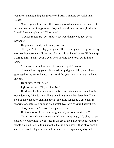you are at manipulating the ghost world. And I'm more powerful than Keaton.

"Once upon a time I met this creepy guy who harassed me, stared at me, and said weird things to me. Do you know if there are any ghost police I could file a complaint to?" Keaton asks.

"Sounds rough. But you know what would make you feel better? Stripping."

He grimaces, oddly not loving my idea.

"Fine, we'll try to play your game. The 'silent' game." I squirm in my seat, feeling absolutely disgusting playing this godawful game. With a gasp, I turn to him. "I can't do it. I even tried holding my breath but it didn't help."

"You realize you don't need to breathe, right?" he asks.

"I wanted to play your ridiculously stupid game, I did, but I think it goes against my entire being, you know? Do you want to torture my being like that?"

He shrugs. "Yeah, sure."

I glower at him. "No, Keaton. No."

He shakes his head a moment before I see his attention pulled to the open doorway. Maddox is walking by talking to another detective. They stop outside the door, chatting about something related to a case they're working on, before continuing on. I watch Keaton's eyes trail after them.

"Do you miss it?" I ask. "Being a detective."

He just shrugs like he can shrug my only serious question off.

"You know it's okay to miss it. It's okay to be angry. It's okay to hate absolutely everything. I was stuck in the area I died at for so long. And the whole time, all I could think about is that it'll be okay, it'll be okay once I can leave. And I'd get farther and farther from the spot every day and I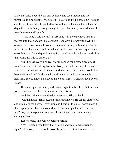knew that once I could leave and go home and see Maddox and my furbabies, it'd be alright. Of course it'll be alright, I'll be home. So I fought and I fought *every day* to get farther from that goddamn spot, and then the day when I was finally strong enough to leave that place, I rushed home. I went home so goddamn fast.

"This is it,' I told myself. 'Everything will be okay now.' But as I walked into that goddamn house where I couldn't interact with anything I once loved, it was so much worse. I remember sitting on Maddox's bed as he slept, and I screamed and I cried and I kicked and I hit and I questioned everything that I could question why I got stuck on this goddamn world like this. What did I do to deserve it?

"But I guess everything really does happen for a reason because if I wasn't stuck in that fucking house for five years just watching the ones I love move on without me, I never would have met Hiro. I never would have been able to talk to Maddox again, and I never would have been able to help him. So you know it's okay to hate it all, right?" I ask as I look over at Keaton.

He's staring at his hands, and I see a slight tremble there, but the man isn't letting a sliver of emotion leak out onto his face.

And that's the moment the door opens and Hiro walks in.

"Oh thank god! Hiro! Keaton just asked me to strip all my clothes off and rub my naked body all over him, and I was a little like I don't know if that's appropriate, but I almost did it, so I'm super glad you're back for me," I say as I wrap my arms around his neck and hang on him while staring at Keaton.

Keaton raises an eyebrow before scoffing.

"Well, Keaton, you know that's not a good way to make friends, right?" Hiro asks, like he could possibly believe Keaton was involved in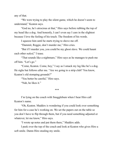any of that.

"We were trying to play the silent game, which he doesn't seem to understand," Keaton says.

"God no, he's atrocious at that," Hiro says before rubbing the top of my head like a dog. And honestly, I can't even say I care in the slightest because I love the feeling of his touch. The freedom of his words.

I squeeze him until he starts trying to shove me off.

"Dammit, Reggie, don't murder me," Hiro cries.

"But if I murder you, you could be my ghost slave. We could haunt each other *naked*," I tease.

"That sounds like a nightmare," Hiro says as he manages to push me off him. "Let's go."

"Come, Keaton. Come, boy," I say as I smack my leg like he's a dog. He sighs but follows after me. "Are we going to a strip club? You know, Keaton's old stomping grounds?"

"You better be careful," Hiro says.

"Nah, he likes it."

\*\*\*

I'm lying on the couch with Snugglebum when I hear Hiro call Keaton's name.

"Oh, Keaton. Maddox is wondering if you could look over something for him for a case he's working on. We set the papers out on the table so you don't have to flip through them, but if you need something adjusted or whatever, let me know," Hiro says.

"I wrote up notes and put them there," Maddox adds.

I peek over the top of the couch and look at Keaton who gives Hiro a soft smile. Damn Hiro stealing my smile.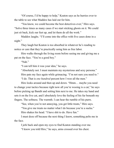"Of course, I'd be happy to help," Keaton says as he hurries over to the table to see what Maddox has laid out for him.

"You know, we could become the best detectives ever," Hiro says. "Solve three times as many cases if we start sticking ghosts on it. We could just sit back, kick our feet up, and let them do all the work."

Maddox laughs. "I'll come into the office with five cases done in a night."

They laugh but Keaton is too absorbed in whatever he's reading to notice or care that they're practically using him as free labor.

Hiro walks through the living room before seeing me and giving me a pat on the face. "You're a good boy."

"Nah."

"I can tell him it was your idea," he says.

"Absolutely not. I must maintain my mysterious and sexy persona." Hiro pats my face again while grimacing. "I'm not sure you need to."

"I do. That is *one hundred* percent how I woo all the men."

Hiro looks around and then up and down. "Hmm… maybe you need to change your tactics because right now all you're wooing is a cat," he says before picking up Bandit and setting him next to me. He takes my hand and sets it on the live cat, and I absolutely love the feeling of his fur beneath my fingers. The softness. The warmth. I can hear the rumble of his purrs.

"See, when you're not annoying, you get little treats," Hiro says.

"You give me treats no matter what I do because you're a sucka."

Hiro shakes his head. "I have shit to do. Have fun."

I must doze off because the next thing I know, something pelts me in the face.

I jerk back and open my eyes to find Keaton standing over me.

"I know you told Hiro," he says, arms crossed over his chest.